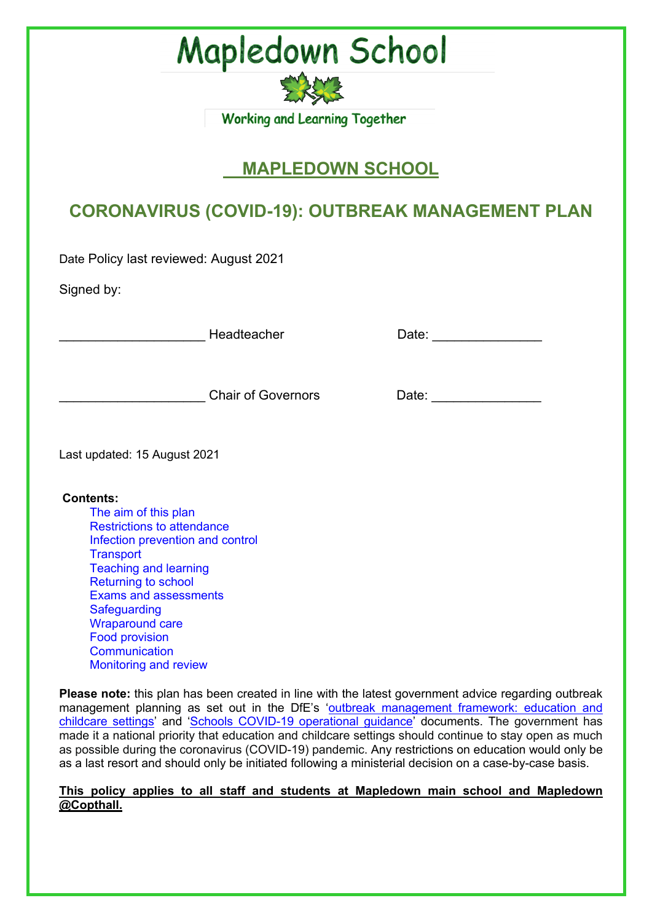

### **MAPLEDOWN SCHOOL**

### **CORONAVIRUS (COVID-19): OUTBREAK MANAGEMENT PLAN**

Date Policy last reviewed: August 2021

Signed by:

\_\_\_\_\_\_\_\_\_\_\_\_\_\_\_\_\_\_\_\_ Headteacher Date: \_\_\_\_\_\_\_\_\_\_\_\_\_\_\_

| Date: |
|-------|
|       |

chair of Governors Date:

Last updated: 15 August 2021

#### **Contents:**

The aim of this plan Restrictions to attendance Infection prevention and control **Transport** Teaching and learning Returning to school Exams and assessments **Safeguarding** Wraparound care Food provision **Communication** Monitoring and review

**Please note:** this plan has been created in line with the latest government advice regarding outbreak management planning as set out in the DfE's 'outbreak management framework: education and childcare settings' and 'Schools COVID-19 operational guidance' documents. The government has made it a national priority that education and childcare settings should continue to stay open as much as possible during the coronavirus (COVID-19) pandemic. Any restrictions on education would only be as a last resort and should only be initiated following a ministerial decision on a case-by-case basis.

#### **This policy applies to all staff and students at Mapledown main school and Mapledown @Copthall.**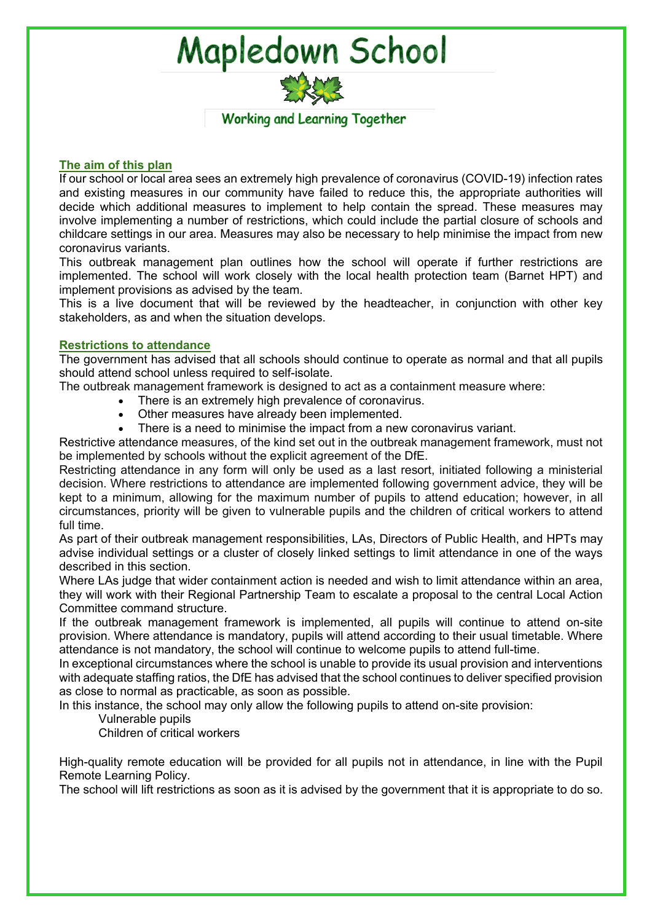

#### **The aim of this plan**

If our school or local area sees an extremely high prevalence of coronavirus (COVID-19) infection rates and existing measures in our community have failed to reduce this, the appropriate authorities will decide which additional measures to implement to help contain the spread. These measures may involve implementing a number of restrictions, which could include the partial closure of schools and childcare settings in our area. Measures may also be necessary to help minimise the impact from new coronavirus variants.

This outbreak management plan outlines how the school will operate if further restrictions are implemented. The school will work closely with the local health protection team (Barnet HPT) and implement provisions as advised by the team.

This is a live document that will be reviewed by the headteacher, in conjunction with other key stakeholders, as and when the situation develops.

#### **Restrictions to attendance**

The government has advised that all schools should continue to operate as normal and that all pupils should attend school unless required to self-isolate.

The outbreak management framework is designed to act as a containment measure where:

- There is an extremely high prevalence of coronavirus.
- Other measures have already been implemented.
- There is a need to minimise the impact from a new coronavirus variant.

Restrictive attendance measures, of the kind set out in the outbreak management framework, must not be implemented by schools without the explicit agreement of the DfE.

Restricting attendance in any form will only be used as a last resort, initiated following a ministerial decision. Where restrictions to attendance are implemented following government advice, they will be kept to a minimum, allowing for the maximum number of pupils to attend education; however, in all circumstances, priority will be given to vulnerable pupils and the children of critical workers to attend full time.

As part of their outbreak management responsibilities, LAs, Directors of Public Health, and HPTs may advise individual settings or a cluster of closely linked settings to limit attendance in one of the ways described in this section.

Where LAs judge that wider containment action is needed and wish to limit attendance within an area, they will work with their Regional Partnership Team to escalate a proposal to the central Local Action Committee command structure.

If the outbreak management framework is implemented, all pupils will continue to attend on-site provision. Where attendance is mandatory, pupils will attend according to their usual timetable. Where attendance is not mandatory, the school will continue to welcome pupils to attend full-time.

In exceptional circumstances where the school is unable to provide its usual provision and interventions with adequate staffing ratios, the DfE has advised that the school continues to deliver specified provision as close to normal as practicable, as soon as possible.

In this instance, the school may only allow the following pupils to attend on-site provision:

Vulnerable pupils

Children of critical workers

High-quality remote education will be provided for all pupils not in attendance, in line with the Pupil Remote Learning Policy.

The school will lift restrictions as soon as it is advised by the government that it is appropriate to do so.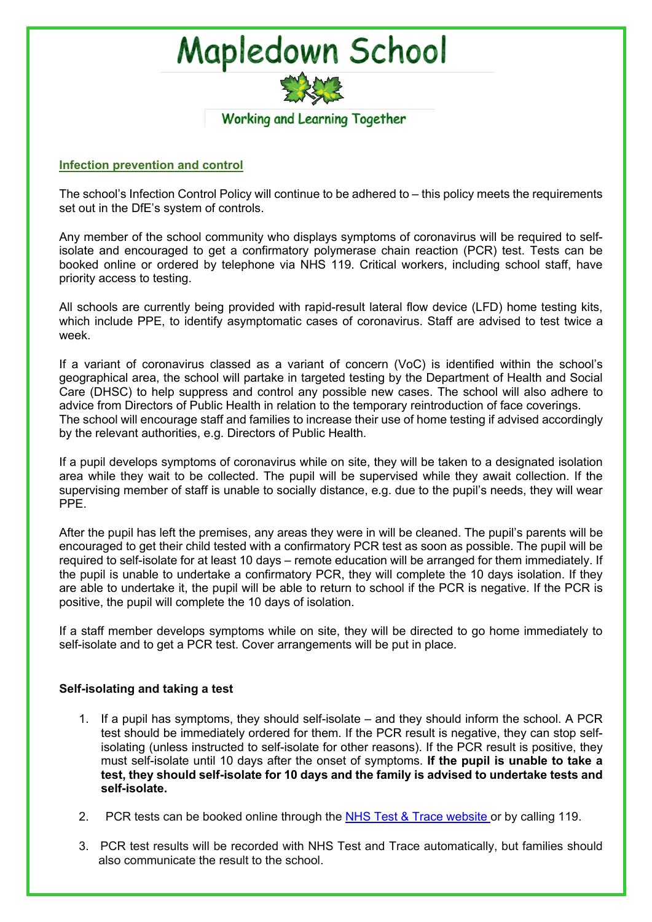

#### **Infection prevention and control**

The school's Infection Control Policy will continue to be adhered to – this policy meets the requirements set out in the DfE's system of controls.

Any member of the school community who displays symptoms of coronavirus will be required to selfisolate and encouraged to get a confirmatory polymerase chain reaction (PCR) test. Tests can be booked online or ordered by telephone via NHS 119. Critical workers, including school staff, have priority access to testing.

All schools are currently being provided with rapid-result lateral flow device (LFD) home testing kits, which include PPE, to identify asymptomatic cases of coronavirus. Staff are advised to test twice a week.

If a variant of coronavirus classed as a variant of concern (VoC) is identified within the school's geographical area, the school will partake in targeted testing by the Department of Health and Social Care (DHSC) to help suppress and control any possible new cases. The school will also adhere to advice from Directors of Public Health in relation to the temporary reintroduction of face coverings. The school will encourage staff and families to increase their use of home testing if advised accordingly by the relevant authorities, e.g. Directors of Public Health.

If a pupil develops symptoms of coronavirus while on site, they will be taken to a designated isolation area while they wait to be collected. The pupil will be supervised while they await collection. If the supervising member of staff is unable to socially distance, e.g. due to the pupil's needs, they will wear PPE.

After the pupil has left the premises, any areas they were in will be cleaned. The pupil's parents will be encouraged to get their child tested with a confirmatory PCR test as soon as possible. The pupil will be required to self-isolate for at least 10 days – remote education will be arranged for them immediately. If the pupil is unable to undertake a confirmatory PCR, they will complete the 10 days isolation. If they are able to undertake it, the pupil will be able to return to school if the PCR is negative. If the PCR is positive, the pupil will complete the 10 days of isolation.

If a staff member develops symptoms while on site, they will be directed to go home immediately to self-isolate and to get a PCR test. Cover arrangements will be put in place.

#### **Self-isolating and taking a test**

- 1. If a pupil has symptoms, they should self-isolate and they should inform the school. A PCR test should be immediately ordered for them. If the PCR result is negative, they can stop selfisolating (unless instructed to self-isolate for other reasons). If the PCR result is positive, they must self-isolate until 10 days after the onset of symptoms. **If the pupil is unable to take a test, they should self-isolate for 10 days and the family is advised to undertake tests and self-isolate.**
- 2. PCR tests can be booked online through the NHS Test & Trace website or by calling 119.
- 3. PCR test results will be recorded with NHS Test and Trace automatically, but families should also communicate the result to the school.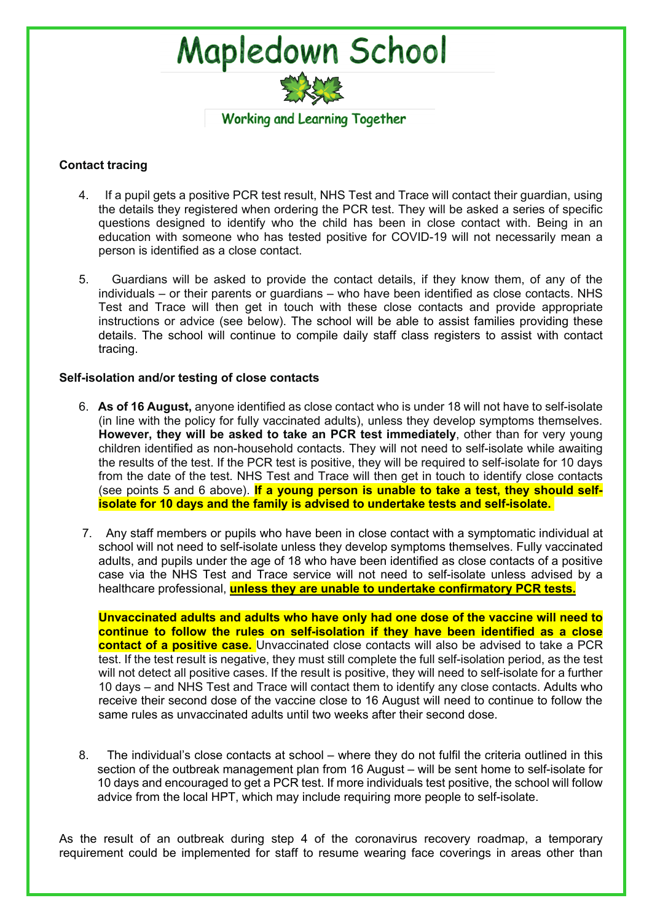

#### **Contact tracing**

- 4. If a pupil gets a positive PCR test result, NHS Test and Trace will contact their guardian, using the details they registered when ordering the PCR test. They will be asked a series of specific questions designed to identify who the child has been in close contact with. Being in an education with someone who has tested positive for COVID-19 will not necessarily mean a person is identified as a close contact.
- 5. Guardians will be asked to provide the contact details, if they know them, of any of the individuals – or their parents or guardians – who have been identified as close contacts. NHS Test and Trace will then get in touch with these close contacts and provide appropriate instructions or advice (see below). The school will be able to assist families providing these details. The school will continue to compile daily staff class registers to assist with contact tracing.

#### **Self-isolation and/or testing of close contacts**

- 6. **As of 16 August,** anyone identified as close contact who is under 18 will not have to self-isolate (in line with the policy for fully vaccinated adults), unless they develop symptoms themselves. **However, they will be asked to take an PCR test immediately**, other than for very young children identified as non-household contacts. They will not need to self-isolate while awaiting the results of the test. If the PCR test is positive, they will be required to self-isolate for 10 days from the date of the test. NHS Test and Trace will then get in touch to identify close contacts (see points 5 and 6 above). **If a young person is unable to take a test, they should selfisolate for 10 days and the family is advised to undertake tests and self-isolate.**
- 7. Any staff members or pupils who have been in close contact with a symptomatic individual at school will not need to self-isolate unless they develop symptoms themselves. Fully vaccinated adults, and pupils under the age of 18 who have been identified as close contacts of a positive case via the NHS Test and Trace service will not need to self-isolate unless advised by a healthcare professional, **unless they are unable to undertake confirmatory PCR tests.**

**Unvaccinated adults and adults who have only had one dose of the vaccine will need to continue to follow the rules on self-isolation if they have been identified as a close contact of a positive case.** Unvaccinated close contacts will also be advised to take a PCR test. If the test result is negative, they must still complete the full self-isolation period, as the test will not detect all positive cases. If the result is positive, they will need to self-isolate for a further 10 days – and NHS Test and Trace will contact them to identify any close contacts. Adults who receive their second dose of the vaccine close to 16 August will need to continue to follow the same rules as unvaccinated adults until two weeks after their second dose.

8. The individual's close contacts at school – where they do not fulfil the criteria outlined in this section of the outbreak management plan from 16 August – will be sent home to self-isolate for 10 days and encouraged to get a PCR test. If more individuals test positive, the school will follow advice from the local HPT, which may include requiring more people to self-isolate.

As the result of an outbreak during step 4 of the coronavirus recovery roadmap, a temporary requirement could be implemented for staff to resume wearing face coverings in areas other than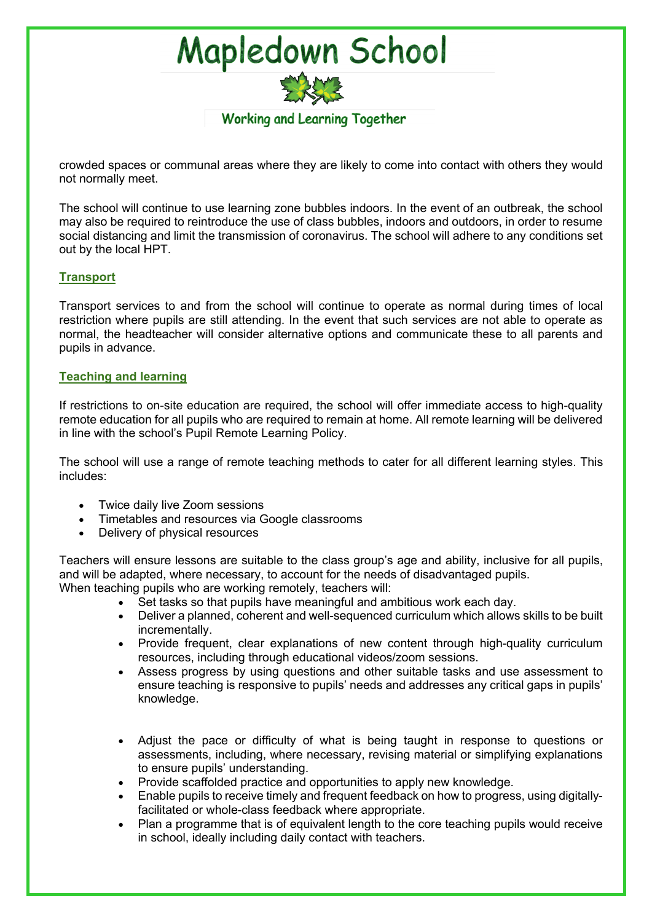

crowded spaces or communal areas where they are likely to come into contact with others they would not normally meet.

The school will continue to use learning zone bubbles indoors. In the event of an outbreak, the school may also be required to reintroduce the use of class bubbles, indoors and outdoors, in order to resume social distancing and limit the transmission of coronavirus. The school will adhere to any conditions set out by the local HPT.

#### **Transport**

Transport services to and from the school will continue to operate as normal during times of local restriction where pupils are still attending. In the event that such services are not able to operate as normal, the headteacher will consider alternative options and communicate these to all parents and pupils in advance.

#### **Teaching and learning**

If restrictions to on-site education are required, the school will offer immediate access to high-quality remote education for all pupils who are required to remain at home. All remote learning will be delivered in line with the school's Pupil Remote Learning Policy.

The school will use a range of remote teaching methods to cater for all different learning styles. This includes:

- Twice daily live Zoom sessions
- Timetables and resources via Google classrooms
- Delivery of physical resources

Teachers will ensure lessons are suitable to the class group's age and ability, inclusive for all pupils, and will be adapted, where necessary, to account for the needs of disadvantaged pupils. When teaching pupils who are working remotely, teachers will:

- Set tasks so that pupils have meaningful and ambitious work each day.
- Deliver a planned, coherent and well-sequenced curriculum which allows skills to be built incrementally.
- Provide frequent, clear explanations of new content through high-quality curriculum resources, including through educational videos/zoom sessions.
- Assess progress by using questions and other suitable tasks and use assessment to ensure teaching is responsive to pupils' needs and addresses any critical gaps in pupils' knowledge.
- Adjust the pace or difficulty of what is being taught in response to questions or assessments, including, where necessary, revising material or simplifying explanations to ensure pupils' understanding.
- Provide scaffolded practice and opportunities to apply new knowledge.
- Enable pupils to receive timely and frequent feedback on how to progress, using digitallyfacilitated or whole-class feedback where appropriate.
- Plan a programme that is of equivalent length to the core teaching pupils would receive in school, ideally including daily contact with teachers.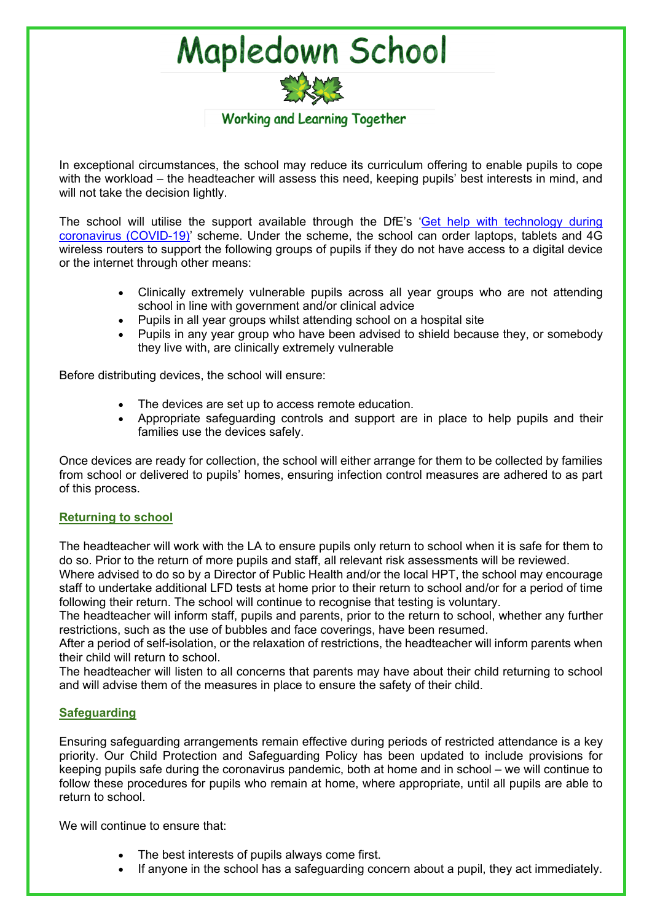

In exceptional circumstances, the school may reduce its curriculum offering to enable pupils to cope with the workload – the headteacher will assess this need, keeping pupils' best interests in mind, and will not take the decision lightly.

The school will utilise the support available through the DfE's 'Get help with technology during coronavirus (COVID-19)' scheme. Under the scheme, the school can order laptops, tablets and 4G wireless routers to support the following groups of pupils if they do not have access to a digital device or the internet through other means:

- Clinically extremely vulnerable pupils across all year groups who are not attending school in line with government and/or clinical advice
- Pupils in all year groups whilst attending school on a hospital site
- Pupils in any year group who have been advised to shield because they, or somebody they live with, are clinically extremely vulnerable

Before distributing devices, the school will ensure:

- The devices are set up to access remote education.
- Appropriate safeguarding controls and support are in place to help pupils and their families use the devices safely.

Once devices are ready for collection, the school will either arrange for them to be collected by families from school or delivered to pupils' homes, ensuring infection control measures are adhered to as part of this process.

#### **Returning to school**

The headteacher will work with the LA to ensure pupils only return to school when it is safe for them to do so. Prior to the return of more pupils and staff, all relevant risk assessments will be reviewed.

Where advised to do so by a Director of Public Health and/or the local HPT, the school may encourage staff to undertake additional LFD tests at home prior to their return to school and/or for a period of time following their return. The school will continue to recognise that testing is voluntary.

The headteacher will inform staff, pupils and parents, prior to the return to school, whether any further restrictions, such as the use of bubbles and face coverings, have been resumed.

After a period of self-isolation, or the relaxation of restrictions, the headteacher will inform parents when their child will return to school.

The headteacher will listen to all concerns that parents may have about their child returning to school and will advise them of the measures in place to ensure the safety of their child.

#### **Safeguarding**

Ensuring safeguarding arrangements remain effective during periods of restricted attendance is a key priority. Our Child Protection and Safeguarding Policy has been updated to include provisions for keeping pupils safe during the coronavirus pandemic, both at home and in school – we will continue to follow these procedures for pupils who remain at home, where appropriate, until all pupils are able to return to school.

We will continue to ensure that:

- The best interests of pupils always come first.
- If anyone in the school has a safeguarding concern about a pupil, they act immediately.